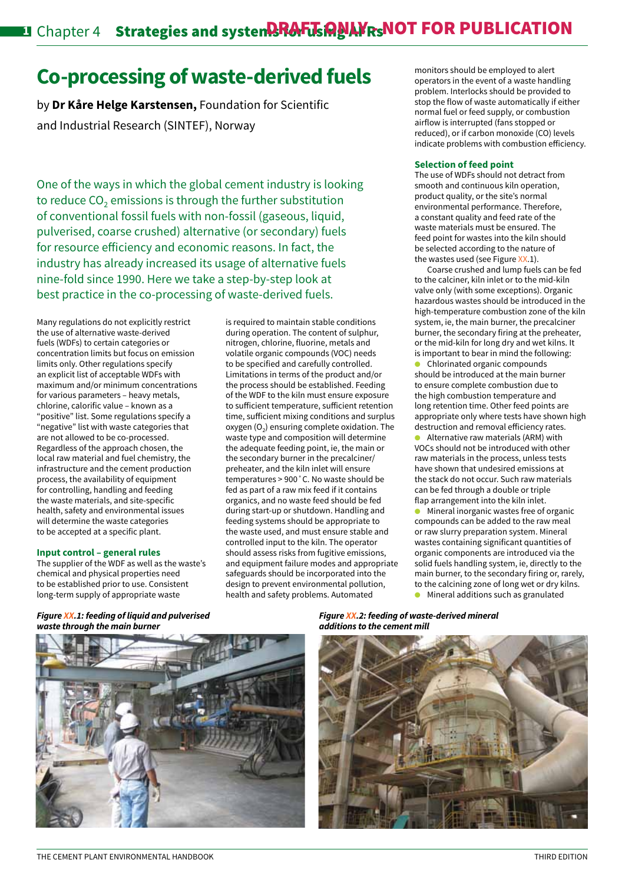# **Co-processing of waste-derived fuels**

by **Dr Kåre Helge Karstensen,** Foundation for Scientific and Industrial Research (SINTEF), Norway

One of the ways in which the global cement industry is looking to reduce  $CO<sub>2</sub>$  emissions is through the further substitution of conventional fossil fuels with non-fossil (gaseous, liquid, pulverised, coarse crushed) alternative (or secondary) fuels for resource efficiency and economic reasons. In fact, the industry has already increased its usage of alternative fuels nine-fold since 1990. Here we take a step-by-step look at best practice in the co-processing of waste-derived fuels.

Many regulations do not explicitly restrict the use of alternative waste-derived fuels (WDFs) to certain categories or concentration limits but focus on emission limits only. Other regulations specify an explicit list of acceptable WDFs with maximum and/or minimum concentrations for various parameters – heavy metals, chlorine, calorific value – known as a "positive" list. Some regulations specify a "negative" list with waste categories that are not allowed to be co-processed. Regardless of the approach chosen, the local raw material and fuel chemistry, the infrastructure and the cement production process, the availability of equipment for controlling, handling and feeding the waste materials, and site-specific health, safety and environmental issues will determine the waste categories to be accepted at a specific plant.

#### **Input control – general rules**

The supplier of the WDF as well as the waste's chemical and physical properties need to be established prior to use. Consistent long-term supply of appropriate waste

is required to maintain stable conditions during operation. The content of sulphur, nitrogen, chlorine, fluorine, metals and volatile organic compounds (VOC) needs to be specified and carefully controlled. Limitations in terms of the product and/or the process should be established. Feeding of the WDF to the kiln must ensure exposure to sufficient temperature, sufficient retention time, sufficient mixing conditions and surplus oxygen  $(0<sub>2</sub>)$  ensuring complete oxidation. The waste type and composition will determine the adequate feeding point, ie, the main or the secondary burner in the precalciner/ preheater, and the kiln inlet will ensure temperatures > 900˚C. No waste should be fed as part of a raw mix feed if it contains organics, and no waste feed should be fed during start-up or shutdown. Handling and feeding systems should be appropriate to the waste used, and must ensure stable and controlled input to the kiln. The operator should assess risks from fugitive emissions, and equipment failure modes and appropriate safeguards should be incorporated into the design to prevent environmental pollution, health and safety problems. Automated

monitors should be employed to alert operators in the event of a waste handling problem. Interlocks should be provided to stop the flow of waste automatically if either normal fuel or feed supply, or combustion airflow is interrupted (fans stopped or reduced), or if carbon monoxide (CO) levels indicate problems with combustion efficiency.

#### **Selection of feed point**

The use of WDFs should not detract from smooth and continuous kiln operation, product quality, or the site's normal environmental performance. Therefore, a constant quality and feed rate of the waste materials must be ensured. The feed point for wastes into the kiln should be selected according to the nature of the wastes used (see Figure  $XX.1$ ).

Coarse crushed and lump fuels can be fed to the calciner, kiln inlet or to the mid-kiln valve only (with some exceptions). Organic hazardous wastes should be introduced in the high-temperature combustion zone of the kiln system, ie, the main burner, the precalciner burner, the secondary firing at the preheater, or the mid-kiln for long dry and wet kilns. It is important to bear in mind the following:

Chlorinated organic compounds should be introduced at the main burner to ensure complete combustion due to the high combustion temperature and long retention time. Other feed points are appropriate only where tests have shown high destruction and removal efficiency rates.

Alternative raw materials (ARM) with VOCs should not be introduced with other raw materials in the process, unless tests have shown that undesired emissions at the stack do not occur. Such raw materials can be fed through a double or triple flap arrangement into the kiln inlet.

Mineral inorganic wastes free of organic compounds can be added to the raw meal or raw slurry preparation system. Mineral wastes containing significant quantities of organic components are introduced via the solid fuels handling system, ie, directly to the main burner, to the secondary firing or, rarely, to the calcining zone of long wet or dry kilns. Mineral additions such as granulated

*Figure XX.1: feeding of liquid and pulverised waste through the main burner*



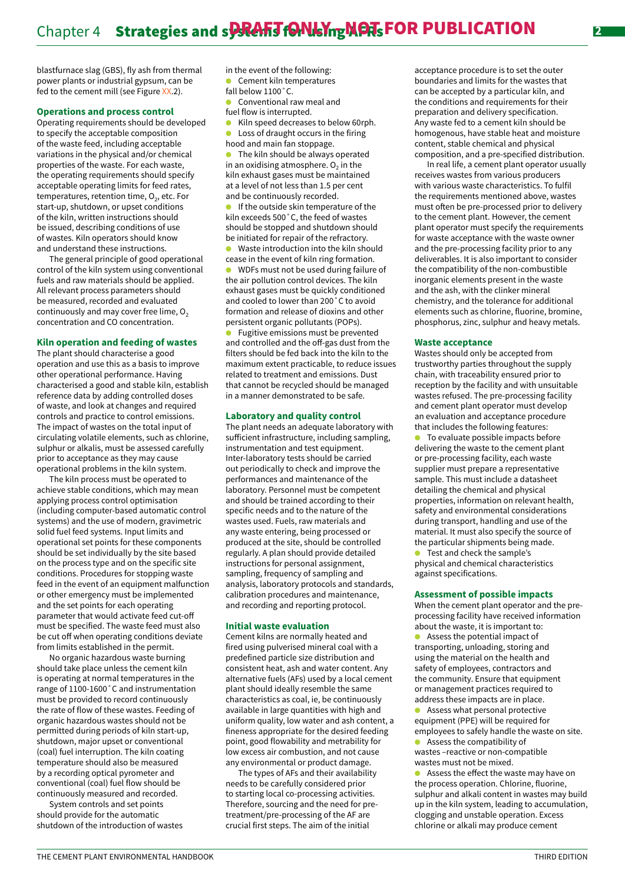blastfurnace slag (GBS), fly ash from thermal power plants or industrial gypsum, can be fed to the cement mill (see Figure XX.2).

#### **Operations and process control**

Operating requirements should be developed to specify the acceptable composition of the waste feed, including acceptable variations in the physical and/or chemical properties of the waste. For each waste, the operating requirements should specify acceptable operating limits for feed rates, temperatures, retention time,  $O<sub>2</sub>$ , etc. For start-up, shutdown, or upset conditions of the kiln, written instructions should be issued, describing conditions of use of wastes. Kiln operators should know and understand these instructions.

The general principle of good operational control of the kiln system using conventional fuels and raw materials should be applied. All relevant process parameters should be measured, recorded and evaluated continuously and may cover free lime,  $O<sub>2</sub>$ concentration and CO concentration.

#### **Kiln operation and feeding of wastes**

The plant should characterise a good operation and use this as a basis to improve other operational performance. Having characterised a good and stable kiln, establish reference data by adding controlled doses of waste, and look at changes and required controls and practice to control emissions. The impact of wastes on the total input of circulating volatile elements, such as chlorine, sulphur or alkalis, must be assessed carefully prior to acceptance as they may cause operational problems in the kiln system.

The kiln process must be operated to achieve stable conditions, which may mean applying process control optimisation (including computer-based automatic control systems) and the use of modern, gravimetric solid fuel feed systems. Input limits and operational set points for these components should be set individually by the site based on the process type and on the specific site conditions. Procedures for stopping waste feed in the event of an equipment malfunction or other emergency must be implemented and the set points for each operating parameter that would activate feed cut-off must be specified. The waste feed must also be cut off when operating conditions deviate from limits established in the permit.

No organic hazardous waste burning should take place unless the cement kiln is operating at normal temperatures in the range of 1100-1600˚C and instrumentation must be provided to record continuously the rate of flow of these wastes. Feeding of organic hazardous wastes should not be permitted during periods of kiln start-up, shutdown, major upset or conventional (coal) fuel interruption. The kiln coating temperature should also be measured by a recording optical pyrometer and conventional (coal) fuel flow should be continuously measured and recorded.

System controls and set points should provide for the automatic shutdown of the introduction of wastes in the event of the following: Cement kiln temperatures

- fall below 1100˚C.
- **Conventional raw meal and** fuel flow is interrupted.
- $\bullet$  Kiln speed decreases to below 60rph.  $\bullet$  Loss of draught occurs in the firing
- hood and main fan stoppage.

The kiln should be always operated in an oxidising atmosphere.  $O<sub>2</sub>$  in the kiln exhaust gases must be maintained at a level of not less than 1.5 per cent and be continuously recorded.

 $\bullet$  If the outside skin temperature of the kiln exceeds 500˚C, the feed of wastes should be stopped and shutdown should be initiated for repair of the refractory. Waste introduction into the kiln should

cease in the event of kiln ring formation.

WDFs must not be used during failure of the air pollution control devices. The kiln exhaust gases must be quickly conditioned and cooled to lower than 200˚C to avoid formation and release of dioxins and other persistent organic pollutants (POPs).

Fugitive emissions must be prevented and controlled and the off-gas dust from the filters should be fed back into the kiln to the maximum extent practicable, to reduce issues related to treatment and emissions. Dust that cannot be recycled should be managed in a manner demonstrated to be safe.

#### **Laboratory and quality control**

The plant needs an adequate laboratory with sufficient infrastructure, including sampling, instrumentation and test equipment. Inter-laboratory tests should be carried out periodically to check and improve the performances and maintenance of the laboratory. Personnel must be competent and should be trained according to their specific needs and to the nature of the wastes used. Fuels, raw materials and any waste entering, being processed or produced at the site, should be controlled regularly. A plan should provide detailed instructions for personal assignment, sampling, frequency of sampling and analysis, laboratory protocols and standards, calibration procedures and maintenance, and recording and reporting protocol.

#### **Initial waste evaluation**

Cement kilns are normally heated and fired using pulverised mineral coal with a predefined particle size distribution and consistent heat, ash and water content. Any alternative fuels (AFs) used by a local cement plant should ideally resemble the same characteristics as coal, ie, be continuously available in large quantities with high and uniform quality, low water and ash content, a fineness appropriate for the desired feeding point, good flowability and metrability for low excess air combustion, and not cause any environmental or product damage.

The types of AFs and their availability needs to be carefully considered prior to starting local co-processing activities. Therefore, sourcing and the need for pretreatment/pre-processing of the AF are crucial first steps. The aim of the initial

acceptance procedure is to set the outer boundaries and limits for the wastes that can be accepted by a particular kiln, and the conditions and requirements for their preparation and delivery specification. Any waste fed to a cement kiln should be homogenous, have stable heat and moisture content, stable chemical and physical composition, and a pre-specified distribution.

In real life, a cement plant operator usually receives wastes from various producers with various waste characteristics. To fulfil the requirements mentioned above, wastes must often be pre-processed prior to delivery to the cement plant. However, the cement plant operator must specify the requirements for waste acceptance with the waste owner and the pre-processing facility prior to any deliverables. It is also important to consider the compatibility of the non-combustible inorganic elements present in the waste and the ash, with the clinker mineral chemistry, and the tolerance for additional elements such as chlorine, fluorine, bromine, phosphorus, zinc, sulphur and heavy metals.

## **Waste acceptance**

Wastes should only be accepted from trustworthy parties throughout the supply chain, with traceability ensured prior to reception by the facility and with unsuitable wastes refused. The pre-processing facility and cement plant operator must develop an evaluation and acceptance procedure that includes the following features:

To evaluate possible impacts before delivering the waste to the cement plant or pre-processing facility, each waste supplier must prepare a representative sample. This must include a datasheet detailing the chemical and physical properties, information on relevant health, safety and environmental considerations during transport, handling and use of the material. It must also specify the source of the particular shipments being made. Test and check the sample's

physical and chemical characteristics against specifications.

#### **Assessment of possible impacts**

When the cement plant operator and the preprocessing facility have received information about the waste, it is important to:  $\bullet$  Assess the potential impact of transporting, unloading, storing and using the material on the health and

safety of employees, contractors and the community. Ensure that equipment or management practices required to address these impacts are in place.

Assess what personal protective equipment (PPE) will be required for employees to safely handle the waste on site.

Assess the compatibility of wastes –reactive or non-compatible wastes must not be mixed.

Assess the effect the waste may have on the process operation. Chlorine, fluorine, sulphur and alkali content in wastes may build up in the kiln system, leading to accumulation, clogging and unstable operation. Excess chlorine or alkali may produce cement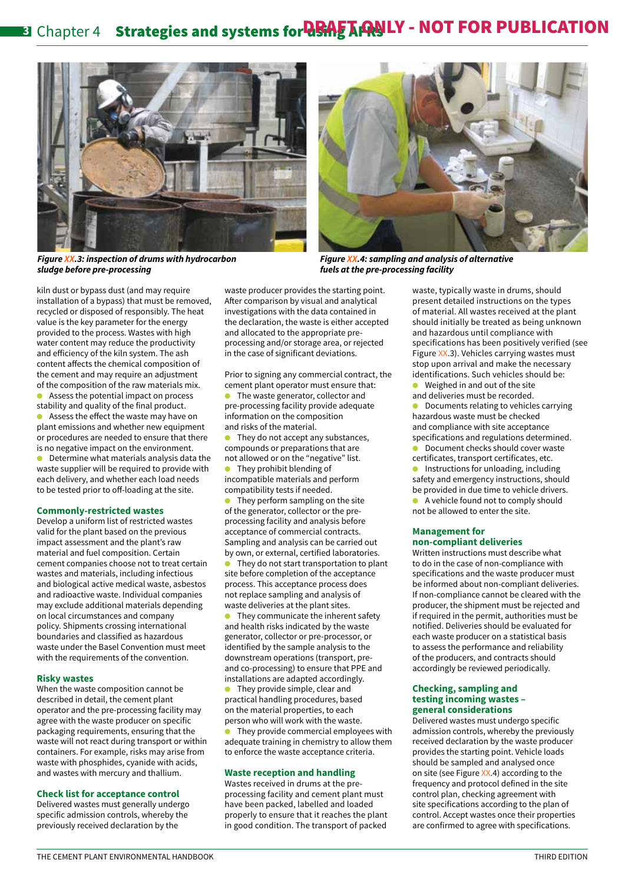# **8** Chapter 4 Strategies and systems for **RRAFT ANLY - NOT FOR PUBLICATION**





*Figure XX.4: sampling and analysis of alternative fuels at the pre-processing facility*

*Figure XX.3: inspection of drums with hydrocarbon sludge before pre-processing*

kiln dust or bypass dust (and may require installation of a bypass) that must be removed, recycled or disposed of responsibly. The heat value is the key parameter for the energy provided to the process. Wastes with high water content may reduce the productivity and efficiency of the kiln system. The ash content affects the chemical composition of the cement and may require an adjustment of the composition of the raw materials mix. Assess the potential impact on process stability and quality of the final product. Assess the effect the waste may have on plant emissions and whether new equipment or procedures are needed to ensure that there is no negative impact on the environment. Determine what materials analysis data the

waste supplier will be required to provide with each delivery, and whether each load needs to be tested prior to off-loading at the site.

#### **Commonly-restricted wastes**

Develop a uniform list of restricted wastes valid for the plant based on the previous impact assessment and the plant's raw material and fuel composition. Certain cement companies choose not to treat certain wastes and materials, including infectious and biological active medical waste, asbestos and radioactive waste. Individual companies may exclude additional materials depending on local circumstances and company policy. Shipments crossing international boundaries and classified as hazardous waste under the Basel Convention must meet with the requirements of the convention.

#### **Risky wastes**

When the waste composition cannot be described in detail, the cement plant operator and the pre-processing facility may agree with the waste producer on specific packaging requirements, ensuring that the waste will not react during transport or within containers. For example, risks may arise from waste with phosphides, cyanide with acids, and wastes with mercury and thallium.

#### **Check list for acceptance control**

Delivered wastes must generally undergo specific admission controls, whereby the previously received declaration by the

waste producer provides the starting point. After comparison by visual and analytical investigations with the data contained in the declaration, the waste is either accepted and allocated to the appropriate preprocessing and/or storage area, or rejected in the case of significant deviations.

Prior to signing any commercial contract, the cement plant operator must ensure that:

The waste generator, collector and pre-processing facility provide adequate information on the composition and risks of the material.

They do not accept any substances, compounds or preparations that are not allowed or on the "negative" list.  $\bullet$  They prohibit blending of incompatible materials and perform compatibility tests if needed.

They perform sampling on the site of the generator, collector or the preprocessing facility and analysis before acceptance of commercial contracts. Sampling and analysis can be carried out by own, or external, certified laboratories.

They do not start transportation to plant site before completion of the acceptance process. This acceptance process does not replace sampling and analysis of waste deliveries at the plant sites.

They communicate the inherent safety and health risks indicated by the waste generator, collector or pre-processor, or identified by the sample analysis to the downstream operations (transport, preand co-processing) to ensure that PPE and installations are adapted accordingly.

They provide simple, clear and practical handling procedures, based on the material properties, to each person who will work with the waste.

They provide commercial employees with adequate training in chemistry to allow them to enforce the waste acceptance criteria.

#### **Waste reception and handling**

Wastes received in drums at the preprocessing facility and cement plant must have been packed, labelled and loaded properly to ensure that it reaches the plant in good condition. The transport of packed waste, typically waste in drums, should present detailed instructions on the types of material. All wastes received at the plant should initially be treated as being unknown and hazardous until compliance with specifications has been positively verified (see Figure XX.3). Vehicles carrying wastes must stop upon arrival and make the necessary identifications. Such vehicles should be:

Weighed in and out of the site

and deliveries must be recorded.

Documents relating to vehicles carrying hazardous waste must be checked and compliance with site acceptance specifications and regulations determined.

Document checks should cover waste certificates, transport certificates, etc. Instructions for unloading, including safety and emergency instructions, should be provided in due time to vehicle drivers. A vehicle found not to comply should not be allowed to enter the site.

#### **Management for non-compliant deliveries**

Written instructions must describe what to do in the case of non-compliance with specifications and the waste producer must be informed about non-compliant deliveries. If non-compliance cannot be cleared with the producer, the shipment must be rejected and if required in the permit, authorities must be notified. Deliveries should be evaluated for each waste producer on a statistical basis to assess the performance and reliability of the producers, and contracts should accordingly be reviewed periodically.

#### **Checking, sampling and testing incoming wastes – general considerations**

Delivered wastes must undergo specific admission controls, whereby the previously received declaration by the waste producer provides the starting point. Vehicle loads should be sampled and analysed once on site (see Figure XX.4) according to the frequency and protocol defined in the site control plan, checking agreement with site specifications according to the plan of control. Accept wastes once their properties are confirmed to agree with specifications.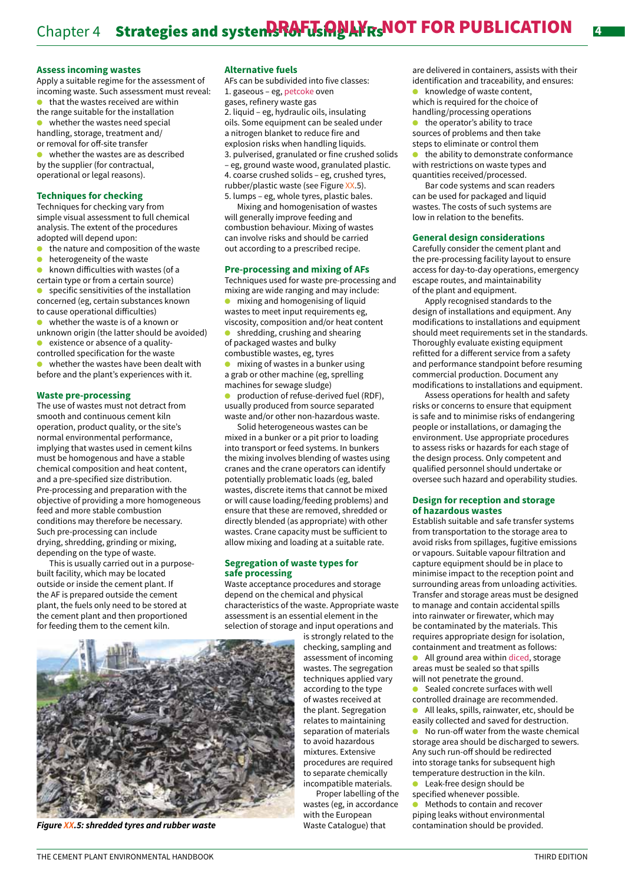#### **Assess incoming wastes**

Apply a suitable regime for the assessment of incoming waste. Such assessment must reveal: that the wastes received are within

- the range suitable for the installation whether the wastes need special handling, storage, treatment and/
- or removal for off-site transfer whether the wastes are as described by the supplier (for contractual,

operational or legal reasons).

#### **Techniques for checking**

Techniques for checking vary from simple visual assessment to full chemical analysis. The extent of the procedures adopted will depend upon:

- $\bullet$  the nature and composition of the waste<br>  $\bullet$  beterogeneity of the waste
- heterogeneity of the waste
- known difficulties with wastes (of a
- certain type or from a certain source)

specific sensitivities of the installation concerned (eg, certain substances known to cause operational difficulties)

whether the waste is of a known or

unknown origin (the latter should be avoided) existence or absence of a quality-

- controlled specification for the waste
- whether the wastes have been dealt with before and the plant's experiences with it.

#### **Waste pre-processing**

The use of wastes must not detract from smooth and continuous cement kiln operation, product quality, or the site's normal environmental performance, implying that wastes used in cement kilns must be homogenous and have a stable chemical composition and heat content, and a pre-specified size distribution. Pre-processing and preparation with the objective of providing a more homogeneous feed and more stable combustion conditions may therefore be necessary. Such pre-processing can include drying, shredding, grinding or mixing, depending on the type of waste.

This is usually carried out in a purposebuilt facility, which may be located outside or inside the cement plant. If the AF is prepared outside the cement plant, the fuels only need to be stored at the cement plant and then proportioned for feeding them to the cement kiln.

#### **Alternative fuels**

AFs can be subdivided into five classes: 1. gaseous – eg, petcoke oven gases, refinery waste gas 2. liquid – eg, hydraulic oils, insulating

oils. Some equipment can be sealed under a nitrogen blanket to reduce fire and explosion risks when handling liquids. 3. pulverised, granulated or fine crushed solids – eg, ground waste wood, granulated plastic. 4. coarse crushed solids – eg, crushed tyres, rubber/plastic waste (see Figure XX.5). 5. lumps – eg, whole tyres, plastic bales.

Mixing and homogenisation of wastes will generally improve feeding and combustion behaviour. Mixing of wastes can involve risks and should be carried out according to a prescribed recipe.

#### **Pre-processing and mixing of AFs**

Techniques used for waste pre-processing and mixing are wide ranging and may include:

 $\bullet$  mixing and homogenising of liquid wastes to meet input requirements eg, viscosity, composition and/or heat content shredding, crushing and shearing of packaged wastes and bulky

combustible wastes, eg, tyres

mixing of wastes in a bunker using a grab or other machine (eg, sprelling machines for sewage sludge)

production of refuse-derived fuel (RDF), usually produced from source separated waste and/or other non-hazardous waste.

Solid heterogeneous wastes can be mixed in a bunker or a pit prior to loading into transport or feed systems. In bunkers the mixing involves blending of wastes using cranes and the crane operators can identify potentially problematic loads (eg, baled wastes, discrete items that cannot be mixed or will cause loading/feeding problems) and ensure that these are removed, shredded or directly blended (as appropriate) with other wastes. Crane capacity must be sufficient to allow mixing and loading at a suitable rate.

#### **Segregation of waste types for safe processing**

Waste acceptance procedures and storage depend on the chemical and physical characteristics of the waste. Appropriate waste assessment is an essential element in the selection of storage and input operations and

is strongly related to the checking, sampling and assessment of incoming wastes. The segregation techniques applied vary according to the type of wastes received at the plant. Segregation relates to maintaining separation of materials to avoid hazardous mixtures. Extensive procedures are required to separate chemically incompatible materials.

Proper labelling of the wastes (eg, in accordance with the European Waste Catalogue) that

are delivered in containers, assists with their identification and traceability, and ensures: knowledge of waste content, which is required for the choice of

handling/processing operations the operator's ability to trace sources of problems and then take

steps to eliminate or control them

the ability to demonstrate conformance with restrictions on waste types and quantities received/processed.

Bar code systems and scan readers can be used for packaged and liquid wastes. The costs of such systems are low in relation to the benefits.

#### **General design considerations**

Carefully consider the cement plant and the pre-processing facility layout to ensure access for day-to-day operations, emergency escape routes, and maintainability of the plant and equipment.

Apply recognised standards to the design of installations and equipment. Any modifications to installations and equipment should meet requirements set in the standards. Thoroughly evaluate existing equipment refitted for a different service from a safety and performance standpoint before resuming commercial production. Document any modifications to installations and equipment.

Assess operations for health and safety risks or concerns to ensure that equipment is safe and to minimise risks of endangering people or installations, or damaging the environment. Use appropriate procedures to assess risks or hazards for each stage of the design process. Only competent and qualified personnel should undertake or oversee such hazard and operability studies.

#### **Design for reception and storage of hazardous wastes**

Establish suitable and safe transfer systems from transportation to the storage area to avoid risks from spillages, fugitive emissions or vapours. Suitable vapour filtration and capture equipment should be in place to minimise impact to the reception point and surrounding areas from unloading activities. Transfer and storage areas must be designed to manage and contain accidental spills into rainwater or firewater, which may be contaminated by the materials. This requires appropriate design for isolation, containment and treatment as follows:

All ground area within diced, storage areas must be sealed so that spills will not penetrate the ground.

- Sealed concrete surfaces with well
- controlled drainage are recommended.
- All leaks, spills, rainwater, etc, should be easily collected and saved for destruction.

No run-off water from the waste chemical storage area should be discharged to sewers. Any such run-off should be redirected into storage tanks for subsequent high temperature destruction in the kiln.

- Leak-free design should be
- specified whenever possible.

Methods to contain and recover piping leaks without environmental contamination should be provided.



*Figure XX.5: shredded tyres and rubber waste*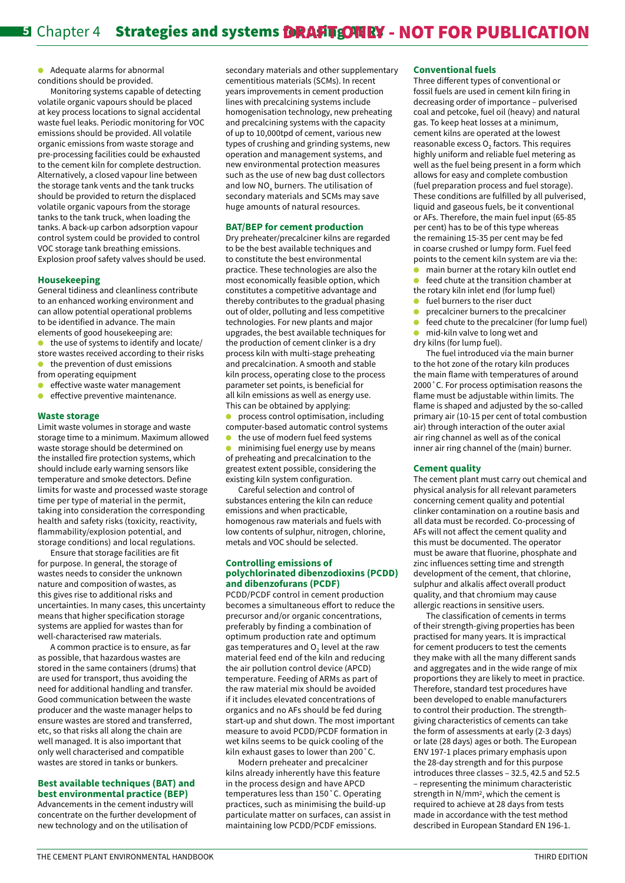$\bullet$  Adequate alarms for abnormal conditions should be provided.

Monitoring systems capable of detecting volatile organic vapours should be placed at key process locations to signal accidental waste fuel leaks. Periodic monitoring for VOC emissions should be provided. All volatile organic emissions from waste storage and pre-processing facilities could be exhausted to the cement kiln for complete destruction. Alternatively, a closed vapour line between the storage tank vents and the tank trucks should be provided to return the displaced volatile organic vapours from the storage tanks to the tank truck, when loading the tanks. A back-up carbon adsorption vapour control system could be provided to control VOC storage tank breathing emissions. Explosion proof safety valves should be used.

#### **Housekeeping**

General tidiness and cleanliness contribute to an enhanced working environment and can allow potential operational problems to be identified in advance. The main elements of good housekeeping are:

the use of systems to identify and locate/ store wastes received according to their risks

- the prevention of dust emissions
- from operating equipment  $\bullet$  effective waste water management
- $\bullet$  effective preventive maintenance.

#### **Waste storage**

Limit waste volumes in storage and waste storage time to a minimum. Maximum allowed waste storage should be determined on the installed fire protection systems, which should include early warning sensors like temperature and smoke detectors. Define limits for waste and processed waste storage time per type of material in the permit, taking into consideration the corresponding health and safety risks (toxicity, reactivity, flammability/explosion potential, and storage conditions) and local regulations.

Ensure that storage facilities are fit for purpose. In general, the storage of wastes needs to consider the unknown nature and composition of wastes, as this gives rise to additional risks and uncertainties. In many cases, this uncertainty means that higher specification storage systems are applied for wastes than for well-characterised raw materials.

A common practice is to ensure, as far as possible, that hazardous wastes are stored in the same containers (drums) that are used for transport, thus avoiding the need for additional handling and transfer. Good communication between the waste producer and the waste manager helps to ensure wastes are stored and transferred, etc, so that risks all along the chain are well managed. It is also important that only well characterised and compatible wastes are stored in tanks or bunkers.

## **Best available techniques (BAT) and best environmental practice (BEP)**

Advancements in the cement industry will concentrate on the further development of new technology and on the utilisation of

secondary materials and other supplementary cementitious materials (SCMs). In recent years improvements in cement production lines with precalcining systems include homogenisation technology, new preheating and precalcining systems with the capacity of up to 10,000tpd of cement, various new types of crushing and grinding systems, new operation and management systems, and new environmental protection measures such as the use of new bag dust collectors and low NO<sub>v</sub> burners. The utilisation of secondary materials and SCMs may save huge amounts of natural resources.

#### **BAT/BEP for cement production**

Dry preheater/precalciner kilns are regarded to be the best available techniques and to constitute the best environmental practice. These technologies are also the most economically feasible option, which constitutes a competitive advantage and thereby contributes to the gradual phasing out of older, polluting and less competitive technologies. For new plants and major upgrades, the best available techniques for the production of cement clinker is a dry process kiln with multi-stage preheating and precalcination. A smooth and stable kiln process, operating close to the process parameter set points, is beneficial for all kiln emissions as well as energy use. This can be obtained by applying:

process control optimisation, including computer-based automatic control systems

the use of modern fuel feed systems minimising fuel energy use by means of preheating and precalcination to the greatest extent possible, considering the existing kiln system configuration.

Careful selection and control of substances entering the kiln can reduce emissions and when practicable, homogenous raw materials and fuels with low contents of sulphur, nitrogen, chlorine, metals and VOC should be selected.

#### **Controlling emissions of polychlorinated dibenzodioxins (PCDD) and dibenzofurans (PCDF)**

PCDD/PCDF control in cement production becomes a simultaneous effort to reduce the precursor and/or organic concentrations, preferably by finding a combination of optimum production rate and optimum gas temperatures and  $O<sub>2</sub>$  level at the raw material feed end of the kiln and reducing the air pollution control device (APCD) temperature. Feeding of ARMs as part of the raw material mix should be avoided if it includes elevated concentrations of organics and no AFs should be fed during start-up and shut down. The most important measure to avoid PCDD/PCDF formation in wet kilns seems to be quick cooling of the kiln exhaust gases to lower than 200˚C.

Modern preheater and precalciner kilns already inherently have this feature in the process design and have APCD temperatures less than 150˚C. Operating practices, such as minimising the build-up particulate matter on surfaces, can assist in maintaining low PCDD/PCDF emissions.

#### **Conventional fuels**

Three different types of conventional or fossil fuels are used in cement kiln firing in decreasing order of importance – pulverised coal and petcoke, fuel oil (heavy) and natural gas. To keep heat losses at a minimum, cement kilns are operated at the lowest reasonable excess  $O<sub>2</sub>$  factors. This requires highly uniform and reliable fuel metering as well as the fuel being present in a form which allows for easy and complete combustion (fuel preparation process and fuel storage). These conditions are fulfilled by all pulverised, liquid and gaseous fuels, be it conventional or AFs. Therefore, the main fuel input (65-85 per cent) has to be of this type whereas the remaining 15-35 per cent may be fed in coarse crushed or lumpy form. Fuel feed points to the cement kiln system are via the:

- main burner at the rotary kiln outlet end feed chute at the transition chamber at
- the rotary kiln inlet end (for lump fuel)
- fuel burners to the riser duct
- precalciner burners to the precalciner
- feed chute to the precalciner (for lump fuel)
- mid-kiln valve to long wet and dry kilns (for lump fuel).

The fuel introduced via the main burner to the hot zone of the rotary kiln produces the main flame with temperatures of around 2000˚C. For process optimisation reasons the flame must be adjustable within limits. The flame is shaped and adjusted by the so-called primary air (10-15 per cent of total combustion air) through interaction of the outer axial air ring channel as well as of the conical inner air ring channel of the (main) burner.

#### **Cement quality**

The cement plant must carry out chemical and physical analysis for all relevant parameters concerning cement quality and potential clinker contamination on a routine basis and all data must be recorded. Co-processing of AFs will not affect the cement quality and this must be documented. The operator must be aware that fluorine, phosphate and zinc influences setting time and strength development of the cement, that chlorine, sulphur and alkalis affect overall product quality, and that chromium may cause allergic reactions in sensitive users.

The classification of cements in terms of their strength-giving properties has been practised for many years. It is impractical for cement producers to test the cements they make with all the many different sands and aggregates and in the wide range of mix proportions they are likely to meet in practice. Therefore, standard test procedures have been developed to enable manufacturers to control their production. The strengthgiving characteristics of cements can take the form of assessments at early (2-3 days) or late (28 days) ages or both. The European ENV 197-1 places primary emphasis upon the 28-day strength and for this purpose introduces three classes – 32.5, 42.5 and 52.5 – representing the minimum characteristic strength in N/mm2, which the cement is required to achieve at 28 days from tests made in accordance with the test method described in European Standard EN 196-1.